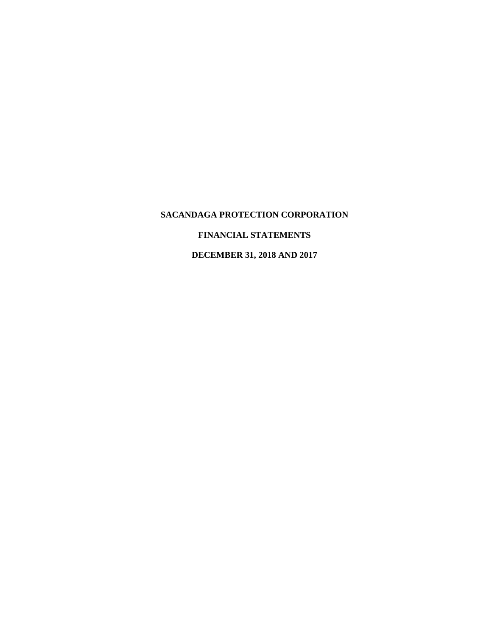# **FINANCIAL STATEMENTS**

**DECEMBER 31, 2018 AND 2017**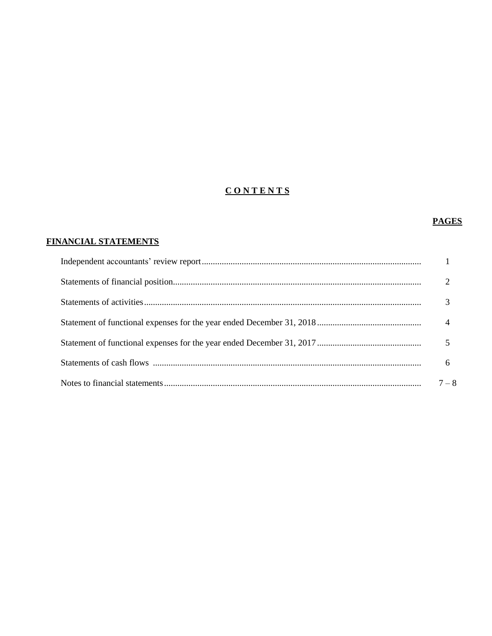## **C O N T E N T S**

## **PAGES**

## **FINANCIAL STATEMENTS**

| 4       |
|---------|
|         |
| 6       |
| $7 - 8$ |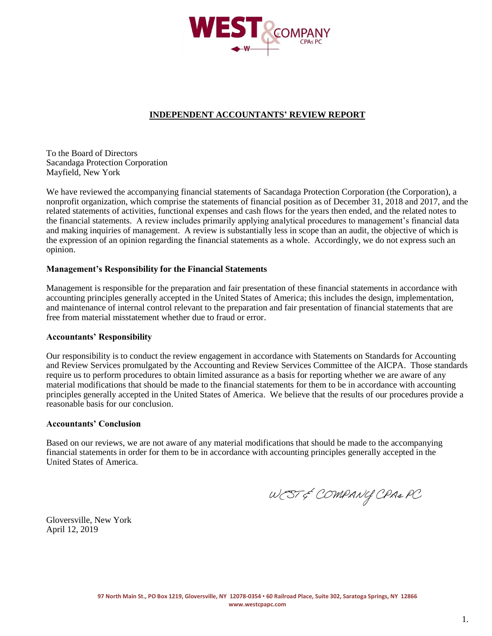

## **INDEPENDENT ACCOUNTANTS' REVIEW REPORT**

To the Board of Directors Sacandaga Protection Corporation Mayfield, New York

We have reviewed the accompanying financial statements of Sacandaga Protection Corporation (the Corporation), a nonprofit organization, which comprise the statements of financial position as of December 31, 2018 and 2017, and the related statements of activities, functional expenses and cash flows for the years then ended, and the related notes to the financial statements. A review includes primarily applying analytical procedures to management's financial data and making inquiries of management. A review is substantially less in scope than an audit, the objective of which is the expression of an opinion regarding the financial statements as a whole. Accordingly, we do not express such an opinion.

#### **Management's Responsibility for the Financial Statements**

Management is responsible for the preparation and fair presentation of these financial statements in accordance with accounting principles generally accepted in the United States of America; this includes the design, implementation, and maintenance of internal control relevant to the preparation and fair presentation of financial statements that are free from material misstatement whether due to fraud or error.

#### **Accountants' Responsibility**

Our responsibility is to conduct the review engagement in accordance with Statements on Standards for Accounting and Review Services promulgated by the Accounting and Review Services Committee of the AICPA. Those standards require us to perform procedures to obtain limited assurance as a basis for reporting whether we are aware of any material modifications that should be made to the financial statements for them to be in accordance with accounting principles generally accepted in the United States of America. We believe that the results of our procedures provide a reasonable basis for our conclusion.

#### **Accountants' Conclusion**

Based on our reviews, we are not aware of any material modifications that should be made to the accompanying financial statements in order for them to be in accordance with accounting principles generally accepted in the United States of America.

WEST & COMPANY CPA& PC

Gloversville, New York April 12, 2019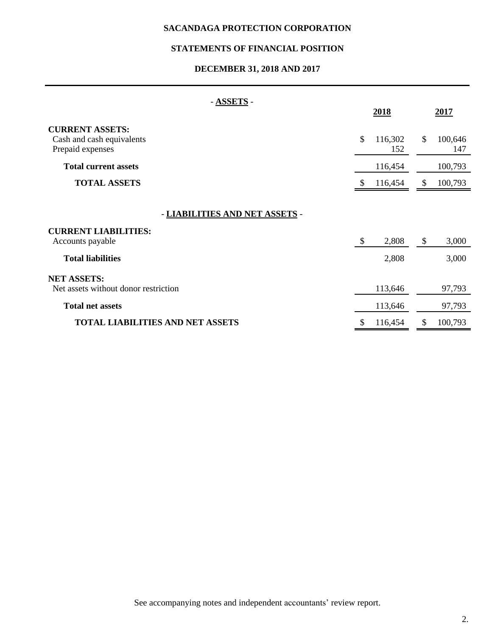## **STATEMENTS OF FINANCIAL POSITION**

## **DECEMBER 31, 2018 AND 2017**

| - ASSETS -                                                              |               |                |      |                |  |
|-------------------------------------------------------------------------|---------------|----------------|------|----------------|--|
|                                                                         |               | 2018           | 2017 |                |  |
| <b>CURRENT ASSETS:</b><br>Cash and cash equivalents<br>Prepaid expenses | \$            | 116,302<br>152 | \$   | 100,646<br>147 |  |
| <b>Total current assets</b>                                             |               | 116,454        |      | 100,793        |  |
| <b>TOTAL ASSETS</b>                                                     |               | 116,454        | \$   | 100,793        |  |
| - LIABILITIES AND NET ASSETS -<br><b>CURRENT LIABILITIES:</b>           |               |                |      |                |  |
| Accounts payable                                                        | $\mathcal{S}$ | 2,808          | \$   | 3,000          |  |
| <b>Total liabilities</b>                                                |               | 2,808          |      | 3,000          |  |
| <b>NET ASSETS:</b><br>Net assets without donor restriction              |               | 113,646        |      | 97,793         |  |
| <b>Total net assets</b>                                                 |               | 113,646        |      | 97,793         |  |
| <b>TOTAL LIABILITIES AND NET ASSETS</b>                                 | S             | 116,454        | \$   | 100,793        |  |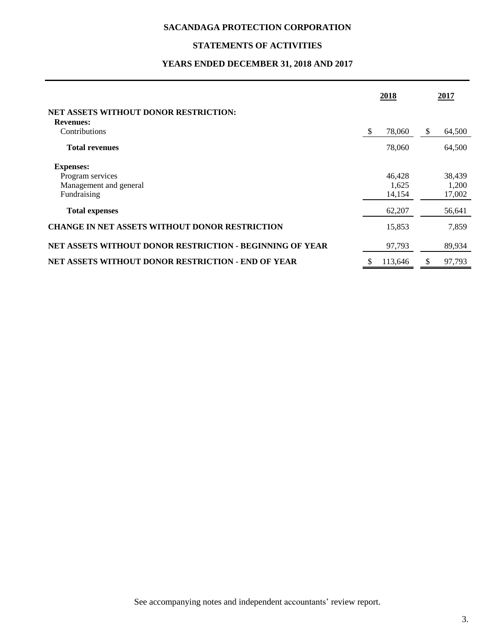# **STATEMENTS OF ACTIVITIES**

## **YEARS ENDED DECEMBER 31, 2018 AND 2017**

|                                                                                   | 2018 |                           | 2017 |                           |
|-----------------------------------------------------------------------------------|------|---------------------------|------|---------------------------|
| <b>NET ASSETS WITHOUT DONOR RESTRICTION:</b><br><b>Revenues:</b><br>Contributions | \$   | 78,060                    | \$.  | 64,500                    |
| <b>Total revenues</b>                                                             |      | 78,060                    |      | 64,500                    |
| <b>Expenses:</b><br>Program services<br>Management and general<br>Fundraising     |      | 46,428<br>1,625<br>14,154 |      | 38,439<br>1,200<br>17,002 |
| <b>Total expenses</b>                                                             |      | 62,207                    |      | 56,641                    |
| <b>CHANGE IN NET ASSETS WITHOUT DONOR RESTRICTION</b>                             |      | 15,853                    |      | 7,859                     |
| NET ASSETS WITHOUT DONOR RESTRICTION - BEGINNING OF YEAR                          |      | 97,793                    |      | 89,934                    |
| NET ASSETS WITHOUT DONOR RESTRICTION - END OF YEAR                                | S    | 113,646                   | S    | 97,793                    |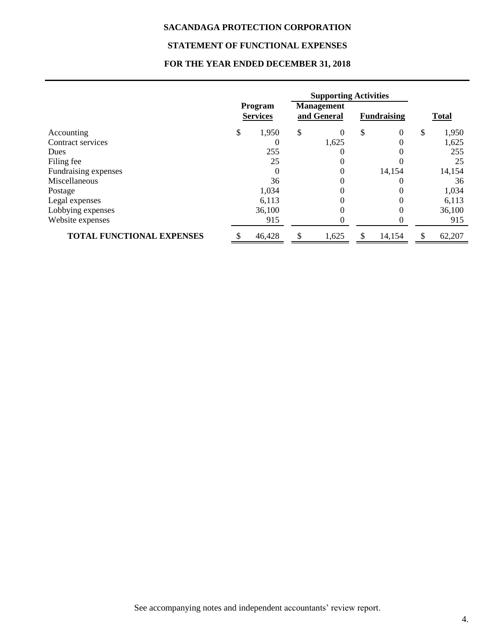## **STATEMENT OF FUNCTIONAL EXPENSES**

#### **FOR THE YEAR ENDED DECEMBER 31, 2018**

|                                  |                            |        | <b>Supporting Activities</b>     |          |                    |        |              |  |
|----------------------------------|----------------------------|--------|----------------------------------|----------|--------------------|--------|--------------|--|
|                                  | Program<br><b>Services</b> |        | <b>Management</b><br>and General |          | <b>Fundraising</b> |        | <b>Total</b> |  |
| Accounting                       | \$                         | 1,950  | \$                               | 0        | \$                 | 0      | \$<br>1,950  |  |
| Contract services                |                            |        |                                  | 1,625    |                    |        | 1,625        |  |
| <b>Dues</b>                      |                            | 255    |                                  | $\theta$ |                    |        | 255          |  |
| Filing fee                       |                            | 25     |                                  |          |                    |        | 25           |  |
| Fundraising expenses             |                            |        |                                  | 0        |                    | 14,154 | 14,154       |  |
| Miscellaneous                    |                            | 36     |                                  | 0        |                    |        | 36           |  |
| Postage                          |                            | 1,034  |                                  |          |                    |        | 1,034        |  |
| Legal expenses                   |                            | 6,113  |                                  |          |                    |        | 6,113        |  |
| Lobbying expenses                |                            | 36,100 |                                  | 0        |                    |        | 36,100       |  |
| Website expenses                 |                            | 915    |                                  | 0        |                    |        | 915          |  |
| <b>TOTAL FUNCTIONAL EXPENSES</b> |                            | 46,428 |                                  | 1,625    | \$                 | 14,154 | 62,207       |  |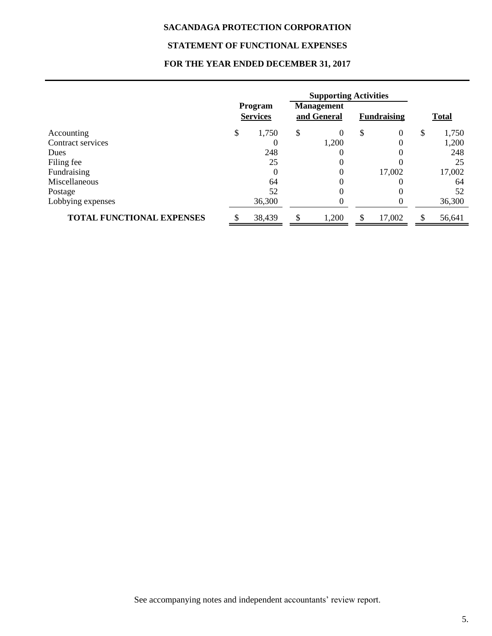## **STATEMENT OF FUNCTIONAL EXPENSES**

#### **FOR THE YEAR ENDED DECEMBER 31, 2017**

|                                  |                            | <b>Supporting Activities</b> |                                  |    |                    |    |              |
|----------------------------------|----------------------------|------------------------------|----------------------------------|----|--------------------|----|--------------|
|                                  | Program<br><b>Services</b> |                              | <b>Management</b><br>and General |    | <b>Fundraising</b> |    | <b>Total</b> |
| Accounting                       | \$<br>1,750                | \$                           | $\theta$                         | \$ | $\theta$           | \$ | 1,750        |
| Contract services                | 0                          |                              | 1,200                            |    |                    |    | 1,200        |
| Dues                             | 248                        |                              |                                  |    |                    |    | 248          |
| Filing fee                       | 25                         |                              | 0                                |    |                    |    | 25           |
| Fundraising                      | $\theta$                   |                              | 0                                |    | 17,002             |    | 17,002       |
| Miscellaneous                    | 64                         |                              |                                  |    |                    |    | 64           |
| Postage                          | 52                         |                              |                                  |    |                    |    | 52           |
| Lobbying expenses                | 36,300                     |                              |                                  |    |                    |    | 36,300       |
| <b>TOTAL FUNCTIONAL EXPENSES</b> | 38,439                     | \$                           | 1,200                            | \$ | 17,002             | S  | 56,641       |

See accompanying notes and independent accountants' review report.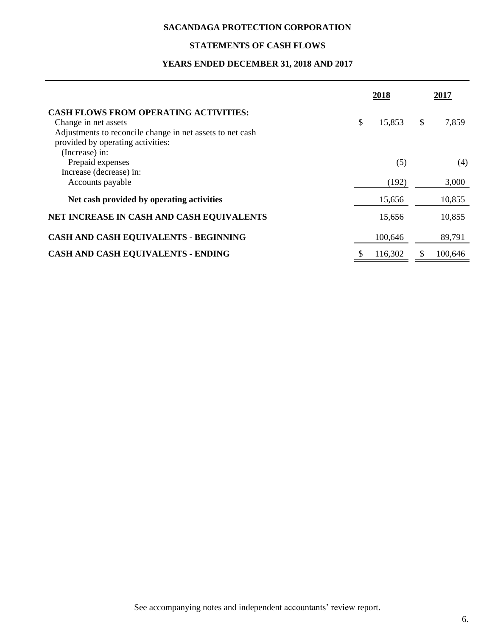## **STATEMENTS OF CASH FLOWS**

#### **YEARS ENDED DECEMBER 31, 2018 AND 2017**

|                                                                                                                                                                        | 2018          | 2017          |
|------------------------------------------------------------------------------------------------------------------------------------------------------------------------|---------------|---------------|
| <b>CASH FLOWS FROM OPERATING ACTIVITIES:</b><br>Change in net assets<br>Adjustments to reconcile change in net assets to net cash<br>provided by operating activities: | \$<br>15,853  | \$<br>7,859   |
| (Increase) in:<br>Prepaid expenses<br>Increase (decrease) in:                                                                                                          | (5)           | (4)           |
| Accounts payable                                                                                                                                                       | (192)         | 3,000         |
| Net cash provided by operating activities                                                                                                                              | 15,656        | 10,855        |
| NET INCREASE IN CASH AND CASH EQUIVALENTS                                                                                                                              | 15,656        | 10,855        |
| CASH AND CASH EQUIVALENTS - BEGINNING                                                                                                                                  | 100,646       | 89,791        |
| <b>CASH AND CASH EQUIVALENTS - ENDING</b>                                                                                                                              | \$<br>116,302 | \$<br>100,646 |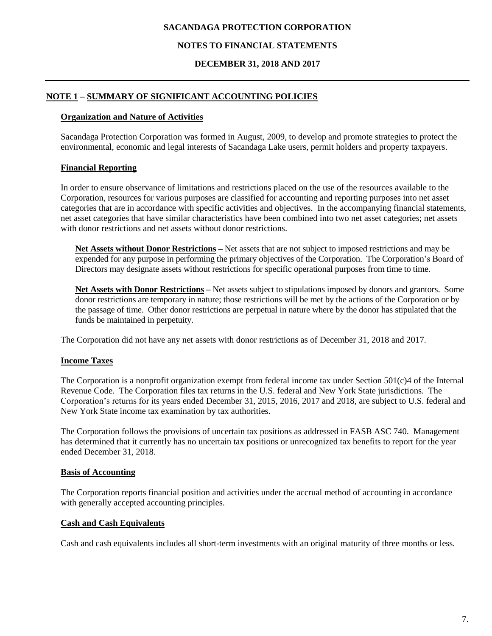## **NOTES TO FINANCIAL STATEMENTS**

**DECEMBER 31, 2018 AND 2017**

## **NOTE 1 – SUMMARY OF SIGNIFICANT ACCOUNTING POLICIES**

#### **Organization and Nature of Activities**

Sacandaga Protection Corporation was formed in August, 2009, to develop and promote strategies to protect the environmental, economic and legal interests of Sacandaga Lake users, permit holders and property taxpayers.

## **Financial Reporting**

In order to ensure observance of limitations and restrictions placed on the use of the resources available to the Corporation, resources for various purposes are classified for accounting and reporting purposes into net asset categories that are in accordance with specific activities and objectives. In the accompanying financial statements, net asset categories that have similar characteristics have been combined into two net asset categories; net assets with donor restrictions and net assets without donor restrictions.

**Net Assets without Donor Restrictions –** Net assets that are not subject to imposed restrictions and may be expended for any purpose in performing the primary objectives of the Corporation. The Corporation's Board of Directors may designate assets without restrictions for specific operational purposes from time to time.

**Net Assets with Donor Restrictions –** Net assets subject to stipulations imposed by donors and grantors. Some donor restrictions are temporary in nature; those restrictions will be met by the actions of the Corporation or by the passage of time. Other donor restrictions are perpetual in nature where by the donor has stipulated that the funds be maintained in perpetuity.

The Corporation did not have any net assets with donor restrictions as of December 31, 2018 and 2017.

#### **Income Taxes**

The Corporation is a nonprofit organization exempt from federal income tax under Section 501(c)4 of the Internal Revenue Code. The Corporation files tax returns in the U.S. federal and New York State jurisdictions. The Corporation's returns for its years ended December 31, 2015, 2016, 2017 and 2018, are subject to U.S. federal and New York State income tax examination by tax authorities.

The Corporation follows the provisions of uncertain tax positions as addressed in FASB ASC 740. Management has determined that it currently has no uncertain tax positions or unrecognized tax benefits to report for the year ended December 31, 2018.

#### **Basis of Accounting**

The Corporation reports financial position and activities under the accrual method of accounting in accordance with generally accepted accounting principles.

#### **Cash and Cash Equivalents**

Cash and cash equivalents includes all short-term investments with an original maturity of three months or less.